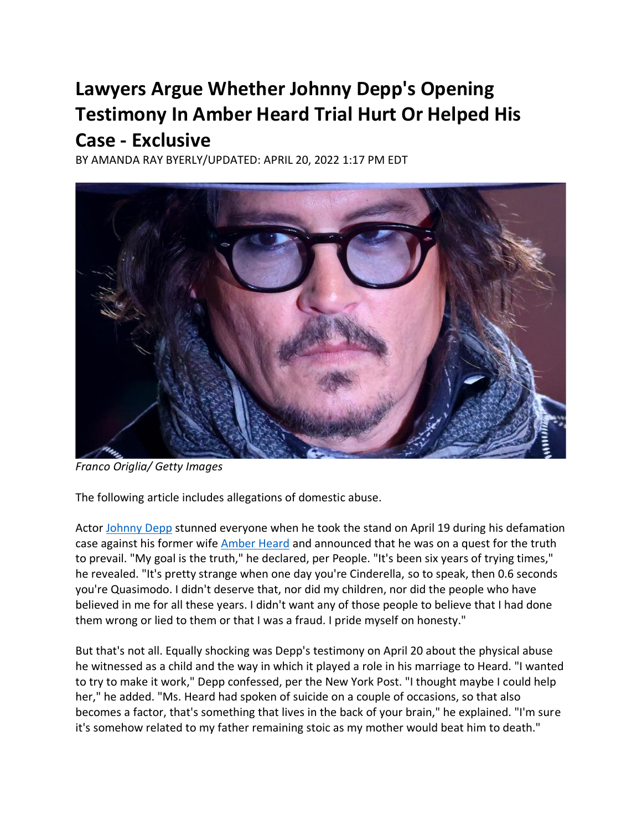## **Lawyers Argue Whether Johnny Depp's Opening Testimony In Amber Heard Trial Hurt Or Helped His Case - Exclusive**

BY AMANDA RAY BYERLY/UPDATED: APRIL 20, 2022 1:17 PM EDT



*Franco Origlia/ Getty Images*

The following article includes allegations of domestic abuse.

Actor [Johnny Depp](https://en.wikipedia.org/wiki/Johnny_Depp) stunned everyone when he took the stand on April 19 during his defamation case against his former wif[e Amber Heard](https://en.wikipedia.org/wiki/Amber_Heard) and announced that he was on a quest for the truth to prevail. "My goal is the truth," he declared, per People. "It's been six years of trying times," he revealed. "It's pretty strange when one day you're Cinderella, so to speak, then 0.6 seconds you're Quasimodo. I didn't deserve that, nor did my children, nor did the people who have believed in me for all these years. I didn't want any of those people to believe that I had done them wrong or lied to them or that I was a fraud. I pride myself on honesty."

But that's not all. Equally shocking was Depp's testimony on April 20 about the physical abuse he witnessed as a child and the way in which it played a role in his marriage to Heard. "I wanted to try to make it work," Depp confessed, per the New York Post. "I thought maybe I could help her," he added. "Ms. Heard had spoken of suicide on a couple of occasions, so that also becomes a factor, that's something that lives in the back of your brain," he explained. "I'm sure it's somehow related to my father remaining stoic as my mother would beat him to death."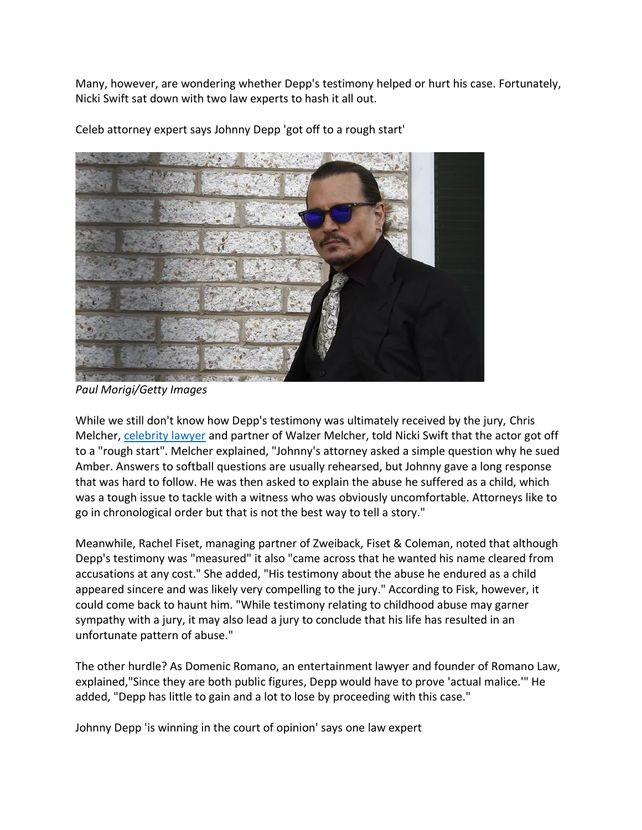Many, however, are wondering whether Depp's testimony helped or hurt his case. Fortunately, Nicki Swift sat down with two law experts to hash it all out.



Celeb attorney expert says Johnny Depp 'got off to a rough start'

*Paul Morigi/Getty Images*

While we still don't know how Depp's testimony was ultimately received by the jury, Chris Melcher, [celebrity lawyer](https://walzermelcher.com/attorney_bio/christopher-c-melcher-celebrity-divorce-lawyer/) and partner of Walzer Melcher, told Nicki Swift that the actor got off to a "rough start". Melcher explained, "Johnny's attorney asked a simple question why he sued Amber. Answers to softball questions are usually rehearsed, but Johnny gave a long response that was hard to follow. He was then asked to explain the abuse he suffered as a child, which was a tough issue to tackle with a witness who was obviously uncomfortable. Attorneys like to go in chronological order but that is not the best way to tell a story."

Meanwhile, Rachel Fiset, managing partner of Zweiback, Fiset & Coleman, noted that although Depp's testimony was "measured" it also "came across that he wanted his name cleared from accusations at any cost." She added, "His testimony about the abuse he endured as a child appeared sincere and was likely very compelling to the jury." According to Fisk, however, it could come back to haunt him. "While testimony relating to childhood abuse may garner sympathy with a jury, it may also lead a jury to conclude that his life has resulted in an unfortunate pattern of abuse."

The other hurdle? As Domenic Romano, an entertainment lawyer and founder of Romano Law, explained,"Since they are both public figures, Depp would have to prove 'actual malice.'" He added, "Depp has little to gain and a lot to lose by proceeding with this case."

Johnny Depp 'is winning in the court of opinion' says one law expert